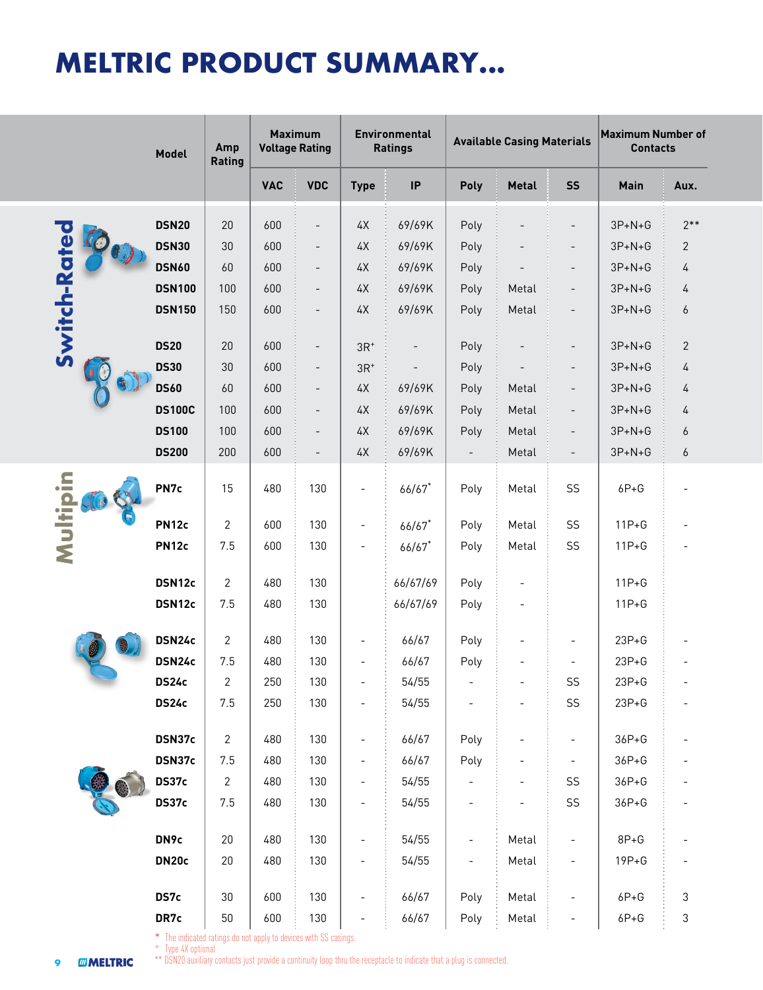# **MELTRIC PRODUCT SUMMARY...**

|                      | Model                                                                                                                                                                                                          | Amp<br>Rating | <b>Maximum</b><br><b>Voltage Rating</b> |                          |                          | <b>Environmental</b><br><b>Ratings</b> |                          | <b>Available Casing Materials</b> |                          | <b>Maximum Number of</b><br><b>Contacts</b> |              |
|----------------------|----------------------------------------------------------------------------------------------------------------------------------------------------------------------------------------------------------------|---------------|-----------------------------------------|--------------------------|--------------------------|----------------------------------------|--------------------------|-----------------------------------|--------------------------|---------------------------------------------|--------------|
|                      |                                                                                                                                                                                                                |               | <b>VAC</b>                              | <b>VDC</b>               | <b>Type</b>              | IP                                     | Poly                     | <b>Metal</b>                      | <b>SS</b>                | <b>Main</b>                                 | Aux.         |
|                      | <b>DSN20</b>                                                                                                                                                                                                   | 20            | 600                                     | $\overline{\phantom{0}}$ | $4\,\mathrm{X}$          | 69/69K                                 | Poly                     |                                   | $\overline{\phantom{a}}$ | $3P + N + G$                                | $2**$        |
| Switch-Rate          | <b>DSN30</b>                                                                                                                                                                                                   | 30            | 600                                     | $\overline{\phantom{a}}$ | 4X                       | 69/69K                                 | Poly                     |                                   | $\overline{\phantom{a}}$ | $3P+N+G$                                    | 2            |
|                      | <b>DSN60</b>                                                                                                                                                                                                   | 60            | 600                                     | $\overline{\phantom{a}}$ | $4\text{X}$              | 69/69K                                 | Poly                     |                                   | $\overline{\phantom{a}}$ | $3P+N+G$                                    | 4            |
|                      | <b>DSN100</b>                                                                                                                                                                                                  | 100           | 600                                     | $\overline{\phantom{a}}$ | $4\text{\AA}$            | 69/69K                                 | Poly                     | Metal                             | $\overline{\phantom{a}}$ | $3P+N+G$                                    | 4            |
|                      | <b>DSN150</b>                                                                                                                                                                                                  | 150           | 600                                     | $\overline{\phantom{0}}$ | $4\text{\AA}$            | 69/69K                                 | Poly                     | Metal                             | $\overline{\phantom{a}}$ | $3P + N + G$                                | 6            |
|                      | <b>DS20</b>                                                                                                                                                                                                    | 20            | 600                                     | $\overline{\phantom{a}}$ | $3R^{\ast}$              |                                        | Poly                     |                                   | $\overline{\phantom{a}}$ | $3P + N + G$                                | $\mathbf{2}$ |
|                      | <b>DS30</b>                                                                                                                                                                                                    | 30            | 600                                     | $\overline{\phantom{a}}$ | $3R+$                    |                                        | Poly                     |                                   | $\overline{\phantom{a}}$ | $3P + N + G$                                | 4            |
|                      | <b>DS60</b>                                                                                                                                                                                                    | 60            | 600                                     | $\overline{\phantom{a}}$ | $4\,\mathrm{X}$          | 69/69K                                 | Poly                     | Metal                             | $\overline{\phantom{a}}$ | $3P + N + G$                                | 4            |
|                      | <b>DS100C</b>                                                                                                                                                                                                  | 100           | 600                                     | $\overline{\phantom{a}}$ | $4\text{X}$              | 69/69K                                 | Poly                     | Metal                             | $\overline{\phantom{a}}$ | $3P + N + G$                                | 4            |
|                      | <b>DS100</b>                                                                                                                                                                                                   | 100           | 600                                     | $\overline{\phantom{a}}$ | $4\text{X}$              | 69/69K                                 | Poly                     | Metal                             | $\overline{\phantom{a}}$ | $3P + N + G$                                | 6            |
|                      | <b>DS200</b>                                                                                                                                                                                                   | 200           | 600                                     | $\overline{\phantom{0}}$ | $4\text{X}$              | 69/69K                                 |                          | Metal                             | $\overline{\phantom{a}}$ | $3P + N + G$                                | 6            |
| Multipin             | PN7c                                                                                                                                                                                                           | 15            | 480                                     | 130                      | $\overline{\phantom{0}}$ | $66/67$ *                              | Poly                     | Metal                             | SS                       | $6P + G$                                    |              |
|                      | <b>PN12c</b>                                                                                                                                                                                                   | 2             | 600                                     | 130                      | $\overline{\phantom{0}}$ | $66/67$ *                              | Poly                     | Metal                             | SS                       | $11P + G$                                   |              |
|                      | <b>PN12c</b>                                                                                                                                                                                                   | 7.5           | 600                                     | 130                      |                          | $66/67$ *                              | Poly                     | Metal                             | SS                       | $11P + G$                                   |              |
|                      |                                                                                                                                                                                                                |               |                                         |                          |                          |                                        |                          |                                   |                          |                                             |              |
|                      | DSN12c                                                                                                                                                                                                         | 2             | 480                                     | 130                      |                          | 66/67/69                               | Poly                     |                                   |                          | $11P + G$                                   |              |
|                      | DSN12c                                                                                                                                                                                                         | 7.5           | 480                                     | 130                      |                          | 66/67/69                               | Poly                     |                                   |                          | $11P + G$                                   |              |
|                      | DSN24c                                                                                                                                                                                                         | 2             | 480                                     | 130                      |                          | 66/67                                  | Poly                     |                                   | $\overline{\phantom{a}}$ | $23P + G$                                   |              |
|                      | DSN24c                                                                                                                                                                                                         | 7.5           | 480                                     | 130                      |                          | 66/67                                  | Poly                     |                                   | $\overline{\phantom{0}}$ | $23P + G$                                   |              |
|                      | DS24c                                                                                                                                                                                                          | 2             | 250                                     | 130                      |                          | 54/55                                  |                          |                                   | SS                       | $23P + G$                                   |              |
|                      | <b>DS24c</b>                                                                                                                                                                                                   | 7.5           | 250                                     | 130                      |                          | 54/55                                  |                          |                                   | SS                       | $23P + G$                                   |              |
|                      | DSN37c                                                                                                                                                                                                         | 2             | 480                                     | 130                      | $\overline{\phantom{0}}$ | 66/67                                  | Poly                     |                                   | $\overline{\phantom{a}}$ | $36P + G$                                   |              |
|                      | DSN37c                                                                                                                                                                                                         | 7.5           | 480                                     | 130                      | $\overline{\phantom{0}}$ | 66/67                                  | Poly                     |                                   | $\overline{\phantom{a}}$ | $36P + G$                                   |              |
|                      | DS37c                                                                                                                                                                                                          | 2             | 480                                     | 130                      | $\overline{\phantom{0}}$ | 54/55                                  |                          | $\overline{\phantom{0}}$          | SS                       | $36P + G$                                   |              |
|                      | DS37c                                                                                                                                                                                                          | 7.5           | 480                                     | 130                      |                          | 54/55                                  | $\overline{\phantom{0}}$ |                                   | SS                       | 36P+G                                       |              |
|                      | DN9c                                                                                                                                                                                                           | 20            | 480                                     | 130                      |                          | 54/55                                  | $\overline{\phantom{0}}$ | Metal                             | $\overline{\phantom{a}}$ | $8P + G$                                    |              |
|                      | DN <sub>20c</sub>                                                                                                                                                                                              | 20            | 480                                     | 130                      | $\overline{\phantom{0}}$ | 54/55                                  | $\overline{\phantom{0}}$ | Metal                             | $\overline{\phantom{a}}$ | $19P + G$                                   |              |
|                      | DS7c                                                                                                                                                                                                           | 30            | 600                                     | 130                      |                          | 66/67                                  | Poly                     | Metal                             | $\overline{a}$           | $6P + G$                                    | 3            |
|                      | DR7c                                                                                                                                                                                                           | 50            | 600                                     | 130                      |                          | 66/67                                  | Poly                     | Metal                             | $\overline{\phantom{a}}$ | $6P + G$                                    | 3            |
| <b>MMELTRIC</b><br>9 | * The indicated ratings do not apply to devices with SS casings.<br>+ Type 4X optional<br>** DSN20 auxiliary contacts just provide a continuity loop thru the receptacle to indicate that a plug is connected. |               |                                         |                          |                          |                                        |                          |                                   |                          |                                             |              |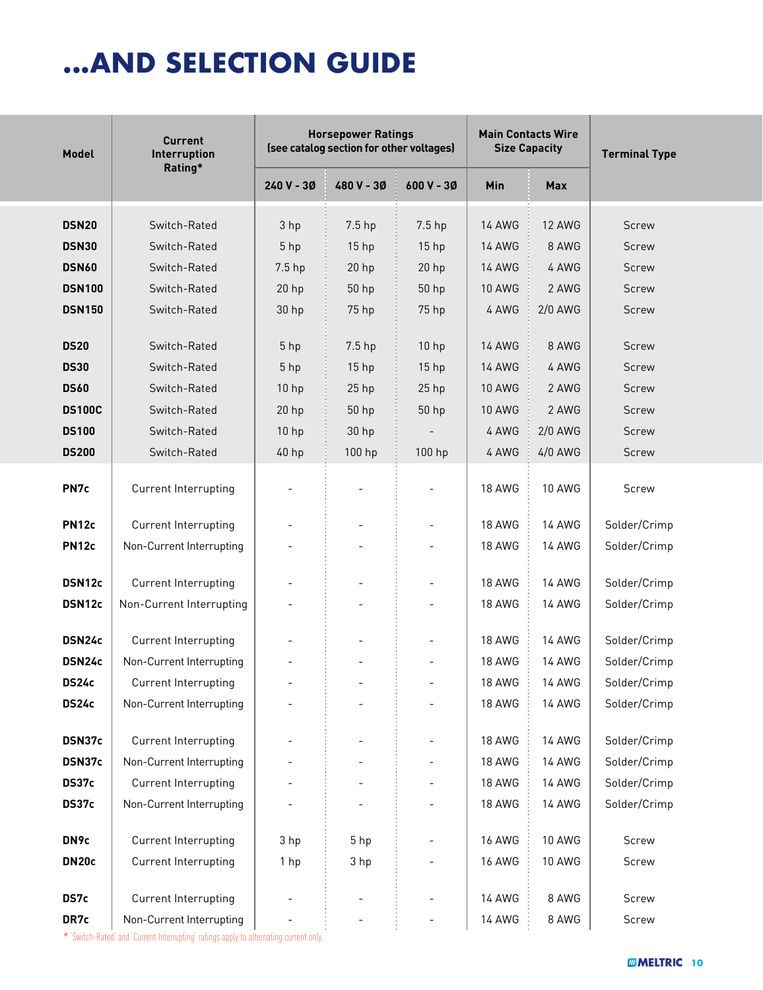# **...AND SELECTION GUIDE**

| <b>Model</b>      | <b>Current</b><br>Interruption |                          | <b>Horsepower Ratings</b><br>(see catalog section for other voltages) |                          | <b>Size Capacity</b> | <b>Main Contacts Wire</b> | <b>Terminal Type</b> |  |
|-------------------|--------------------------------|--------------------------|-----------------------------------------------------------------------|--------------------------|----------------------|---------------------------|----------------------|--|
|                   | Rating*                        | 240 V - 3Ø               | 480 V - 30                                                            | 600 V - 30               | Min                  | <b>Max</b>                |                      |  |
| <b>DSN20</b>      | Switch-Rated                   | 3 hp                     | 7.5 hp                                                                | 7.5 hp                   | <b>14 AWG</b>        | <b>12 AWG</b>             | <b>Screw</b>         |  |
| <b>DSN30</b>      | Switch-Rated                   | 5 <sub>hp</sub>          | 15 <sub>hp</sub>                                                      | 15 <sub>hp</sub>         | <b>14 AWG</b>        | 8 AWG                     | <b>Screw</b>         |  |
| <b>DSN60</b>      | Switch-Rated                   | 7.5 hp                   | $20$ hp                                                               | $20$ hp                  | <b>14 AWG</b>        | 4 AWG                     | <b>Screw</b>         |  |
| <b>DSN100</b>     | Switch-Rated                   | $20$ hp                  | 50 hp                                                                 | 50 hp                    | <b>10 AWG</b>        | 2 AWG                     | <b>Screw</b>         |  |
| <b>DSN150</b>     | Switch-Rated                   | 30 hp                    | 75 hp                                                                 | 75 hp                    | 4 AWG                | $2/0$ AWG                 | <b>Screw</b>         |  |
|                   |                                |                          |                                                                       |                          |                      |                           |                      |  |
| <b>DS20</b>       | Switch-Rated                   | 5 hp                     | 7.5 hp                                                                | 10 hp                    | <b>14 AWG</b>        | 8 AWG                     | <b>Screw</b>         |  |
| <b>DS30</b>       | Switch-Rated                   | 5 <sub>hp</sub>          | 15 <sub>hp</sub>                                                      | 15 <sub>hp</sub>         | <b>14 AWG</b>        | 4 AWG                     | <b>Screw</b>         |  |
| <b>DS60</b>       | Switch-Rated                   | 10 <sub>hp</sub>         | $25$ hp                                                               | $25$ hp                  | <b>10 AWG</b>        | 2 AWG                     | <b>Screw</b>         |  |
| <b>DS100C</b>     | Switch-Rated                   | 20 <sub>hp</sub>         | 50 hp                                                                 | 50 hp                    | <b>10 AWG</b>        | 2 AWG                     | <b>Screw</b>         |  |
| <b>DS100</b>      | Switch-Rated                   | 10 <sub>hp</sub>         | 30 <sub>hp</sub>                                                      |                          | 4 AWG                | $2/0$ AWG                 | Screw                |  |
| <b>DS200</b>      | Switch-Rated                   | 40 hp                    | 100 hp                                                                | 100 hp                   | 4 AWG                | $4/0$ AWG                 | Screw                |  |
| PN7c              | Current Interrupting           |                          |                                                                       |                          | <b>18 AWG</b>        | <b>10 AWG</b>             | Screw                |  |
| <b>PN12c</b>      | Current Interrupting           |                          |                                                                       | $\overline{\phantom{a}}$ | <b>18 AWG</b>        | <b>14 AWG</b>             | Solder/Crimp         |  |
| <b>PN12c</b>      | Non-Current Interrupting       |                          |                                                                       |                          | <b>18 AWG</b>        | <b>14 AWG</b>             | Solder/Crimp         |  |
|                   |                                |                          |                                                                       |                          |                      |                           |                      |  |
| DSN12c            | Current Interrupting           |                          |                                                                       | $\overline{\phantom{a}}$ | <b>18 AWG</b>        | <b>14 AWG</b>             | Solder/Crimp         |  |
| DSN12c            | Non-Current Interrupting       |                          |                                                                       |                          | 18 AWG               | <b>14 AWG</b>             | Solder/Crimp         |  |
| DSN24c            | Current Interrupting           |                          |                                                                       | $\overline{\phantom{a}}$ | <b>18 AWG</b>        | 14 AWG                    | Solder/Crimp         |  |
| DSN24c            | Non-Current Interrupting       |                          |                                                                       |                          | <b>18 AWG</b>        | <b>14 AWG</b>             | Solder/Crimp         |  |
| <b>DS24c</b>      | Current Interrupting           |                          |                                                                       |                          | <b>18 AWG</b>        | <b>14 AWG</b>             | Solder/Crimp         |  |
| <b>DS24c</b>      | Non-Current Interrupting       |                          |                                                                       |                          | 18 AWG               | 14 AWG                    | Solder/Crimp         |  |
|                   |                                |                          |                                                                       |                          |                      |                           |                      |  |
| DSN37c            | Current Interrupting           |                          |                                                                       |                          | <b>18 AWG</b>        | <b>14 AWG</b>             | Solder/Crimp         |  |
| DSN37c            | Non-Current Interrupting       |                          |                                                                       |                          | <b>18 AWG</b>        | <b>14 AWG</b>             | Solder/Crimp         |  |
| DS37c             | Current Interrupting           |                          |                                                                       |                          | <b>18 AWG</b>        | <b>14 AWG</b>             | Solder/Crimp         |  |
| DS37c             | Non-Current Interrupting       |                          |                                                                       |                          | 18 AWG               | <b>14 AWG</b>             | Solder/Crimp         |  |
| DN9c              | Current Interrupting           | 3 hp                     | 5 hp                                                                  |                          | <b>16 AWG</b>        | 10 AWG                    | Screw                |  |
| DN <sub>20c</sub> | Current Interrupting           | 1 hp                     | 3 hp                                                                  |                          | <b>16 AWG</b>        | <b>10 AWG</b>             | Screw                |  |
|                   |                                |                          |                                                                       |                          |                      |                           |                      |  |
| DS7c              | Current Interrupting           |                          |                                                                       | $\overline{\phantom{a}}$ | <b>14 AWG</b>        | 8 AWG                     | Screw                |  |
| DR7c              | Non-Current Interrupting       | $\overline{\phantom{a}}$ |                                                                       | $\overline{\phantom{a}}$ | <b>14 AWG</b>        | 8 AWG                     | Screw                |  |

\* 'Switch-Rated' and 'Current Interrupting' ratings apply to alternating current only.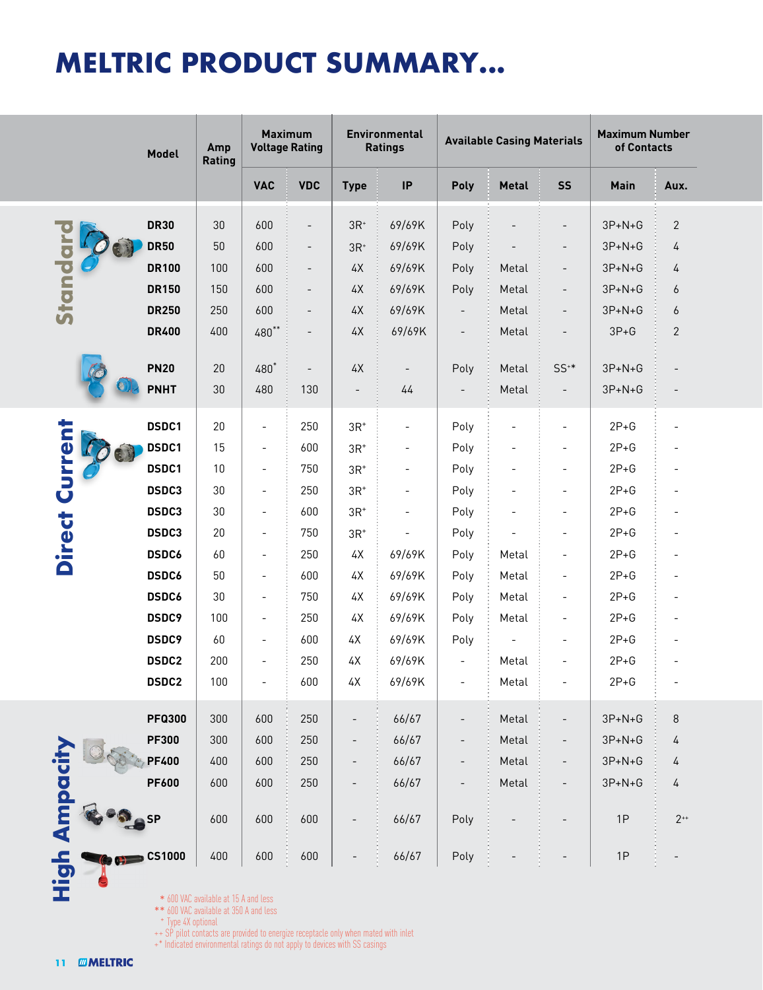## **MELTRIC PRODUCT SUMMARY...**

|                       | Model              | <b>Maximum</b><br><b>Environmental</b><br>Amp<br><b>Voltage Rating</b><br><b>Ratings</b><br>Rating                                                                                                                                                  |                          |                          |                          |                          | <b>Available Casing Materials</b> | <b>Maximum Number</b><br>of Contacts |                          |              |                |
|-----------------------|--------------------|-----------------------------------------------------------------------------------------------------------------------------------------------------------------------------------------------------------------------------------------------------|--------------------------|--------------------------|--------------------------|--------------------------|-----------------------------------|--------------------------------------|--------------------------|--------------|----------------|
|                       |                    |                                                                                                                                                                                                                                                     | <b>VAC</b>               | <b>VDC</b>               | <b>Type</b>              | $\sf IP$                 | Poly                              | <b>Metal</b>                         | <b>SS</b>                | Main         | Aux.           |
|                       | <b>DR30</b>        | 30                                                                                                                                                                                                                                                  | 600                      | $\overline{\phantom{a}}$ | $3R+$                    | 69/69K                   | Poly                              |                                      |                          | $3P + N + G$ | $\mathbf{2}$   |
| Standard              | <b>DR50</b>        | 50                                                                                                                                                                                                                                                  | 600                      | $\overline{\phantom{a}}$ | $3R+$                    | 69/69K                   | Poly                              |                                      | $\overline{\phantom{m}}$ | $3P + N + G$ | 4              |
|                       | <b>DR100</b>       | 100                                                                                                                                                                                                                                                 | 600                      | $\overline{\phantom{0}}$ | 4X                       | 69/69K                   | Poly                              | Metal                                | $\overline{a}$           | $3P+N+G$     | 4              |
|                       | <b>DR150</b>       | 150                                                                                                                                                                                                                                                 | 600                      | $\overline{\phantom{a}}$ | $4\,\mathrm{X}$          | 69/69K                   | Poly                              | Metal                                | $\overline{\phantom{a}}$ | $3P+N+G$     | 6              |
|                       | <b>DR250</b>       | 250                                                                                                                                                                                                                                                 | 600                      | $\overline{\phantom{0}}$ | 4X                       | 69/69K                   | $\overline{\phantom{a}}$          | Metal                                | $\overline{\phantom{0}}$ | $3P+N+G$     | 6              |
|                       | <b>DR400</b>       | 400                                                                                                                                                                                                                                                 | $480**$                  | $\qquad \qquad -$        | $4\text{\AA}$            | 69/69K                   | $\overline{\phantom{a}}$          | Metal                                |                          | $3P+G$       | $\overline{2}$ |
|                       |                    |                                                                                                                                                                                                                                                     |                          |                          |                          |                          |                                   |                                      |                          |              |                |
|                       | <b>PN20</b>        | 20                                                                                                                                                                                                                                                  | 480*                     | $\overline{\phantom{a}}$ | $4\,\mathrm{X}$          | $\overline{\phantom{a}}$ | Poly                              | Metal                                | $SS^{**}$                | $3P + N + G$ |                |
|                       | <b>PNHT</b>        | 30                                                                                                                                                                                                                                                  | 480                      | 130                      | $\qquad \qquad -$        | 44                       |                                   | Metal                                | $\overline{\phantom{a}}$ | $3P + N + G$ |                |
|                       | DSDC1              | 20                                                                                                                                                                                                                                                  | $\overline{\phantom{a}}$ | 250                      | $3R+$                    | $\overline{\phantom{a}}$ | Poly                              |                                      | $\overline{\phantom{0}}$ | $2P+G$       |                |
| <b>Direct Current</b> | DSDC1              | 15                                                                                                                                                                                                                                                  | $\overline{\phantom{a}}$ | 600                      | $3R+$                    | $\overline{\phantom{a}}$ | Poly                              |                                      | $\overline{\phantom{0}}$ | $2P+G$       |                |
|                       | DSDC1              | 10                                                                                                                                                                                                                                                  | $\overline{\phantom{a}}$ | 750                      | $3R+$                    | $\overline{\phantom{m}}$ | Poly                              | $\overline{\phantom{0}}$             |                          | $2P + G$     |                |
|                       | DSDC3              | 30                                                                                                                                                                                                                                                  | $\overline{\phantom{a}}$ | 250                      | $3R+$                    | $\overline{\phantom{a}}$ | Poly                              |                                      | $\overline{\phantom{a}}$ | $2P+G$       |                |
|                       | DSDC3              | 30                                                                                                                                                                                                                                                  | $\overline{\phantom{a}}$ | 600                      | $3R+$                    | $\overline{\phantom{m}}$ | Poly                              |                                      | $\overline{\phantom{0}}$ | $2P + G$     |                |
|                       | DSDC3              | 20                                                                                                                                                                                                                                                  | $\overline{\phantom{a}}$ | 750                      | $3R+$                    | $\overline{\phantom{m}}$ | Poly                              |                                      | $\overline{\phantom{0}}$ | $2P+G$       |                |
|                       | <b>DSDC6</b>       | 60                                                                                                                                                                                                                                                  | $\overline{\phantom{a}}$ | 250                      | 4Х                       | 69/69K                   | Poly                              | Metal                                | $\overline{a}$           | $2P+G$       |                |
|                       | <b>DSDC6</b>       | 50                                                                                                                                                                                                                                                  | $\overline{\phantom{a}}$ | 600                      | 4Х                       | 69/69K                   | Poly                              | Metal                                | $\overline{a}$           | $2P+G$       |                |
|                       | <b>DSDC6</b>       | 30                                                                                                                                                                                                                                                  | $\overline{\phantom{a}}$ | 750                      | 4X                       | 69/69K                   | Poly                              | Metal                                | $\overline{\phantom{0}}$ | $2P+G$       |                |
|                       | DSDC9              | 100                                                                                                                                                                                                                                                 | $\overline{\phantom{a}}$ | 250                      | $4\text{\AA}$            | 69/69K                   | Poly                              | Metal                                | $\overline{\phantom{0}}$ | $2P+G$       |                |
|                       | <b>DSDC9</b>       | 60                                                                                                                                                                                                                                                  | $\overline{\phantom{a}}$ | 600                      | 4Х                       | 69/69K                   | Poly                              |                                      | $\overline{\phantom{a}}$ | $2P+G$       |                |
|                       | <b>DSDC2</b>       | 200                                                                                                                                                                                                                                                 | $\overline{\phantom{a}}$ | 250                      | 4Х                       | 69/69K                   | $\overline{\phantom{0}}$          | Metal                                |                          | $2P + G$     |                |
|                       | <b>DSDC2</b>       | 100                                                                                                                                                                                                                                                 |                          | 600                      | 4Х                       | 69/69K                   | $\overline{\phantom{a}}$          | Metal                                |                          | $2P+G$       |                |
|                       | <b>PFQ300</b>      | 300                                                                                                                                                                                                                                                 | 600                      | 250                      | $\overline{a}$           | 66/67                    |                                   | Metal                                |                          | $3P + N + G$ | 8              |
|                       | <b>PF300</b>       | 300                                                                                                                                                                                                                                                 | 600                      | 250                      | $\overline{\phantom{a}}$ | 66/67                    | $\qquad \qquad -$                 | Metal                                |                          | $3P + N + G$ | 4              |
|                       | <b>PF400</b>       | 400                                                                                                                                                                                                                                                 | 600                      | 250                      | $\overline{\phantom{a}}$ | 66/67                    | $\qquad \qquad -$                 | Metal                                | $\overline{\phantom{a}}$ | $3P + N + G$ | 4              |
|                       | <b>PF600</b>       | 600                                                                                                                                                                                                                                                 | 600                      | 250                      | $\overline{\phantom{a}}$ | 66/67                    | $\overline{\phantom{a}}$          | Metal                                | $\overline{\phantom{a}}$ | $3P + N + G$ | 4              |
| High Ampacit          | SP                 | 600                                                                                                                                                                                                                                                 | 600                      | 600                      | $\overline{\phantom{0}}$ | 66/67                    | Poly                              |                                      |                          | 1P           | $2^{++}$       |
|                       | <b>CS1000</b>      | 400                                                                                                                                                                                                                                                 | 600                      | 600                      |                          | 66/67                    | Poly                              |                                      |                          | 1P           |                |
| <b>MMELTRIC</b><br>11 | + Type 4X optional | * 600 VAC available at 15 A and less<br>** 600 VAC available at 350 A and less<br>++ SP pilot contacts are provided to energize receptacle only when mated with inlet<br>+* Indicated environmental ratings do not apply to devices with SS casings |                          |                          |                          |                          |                                   |                                      |                          |              |                |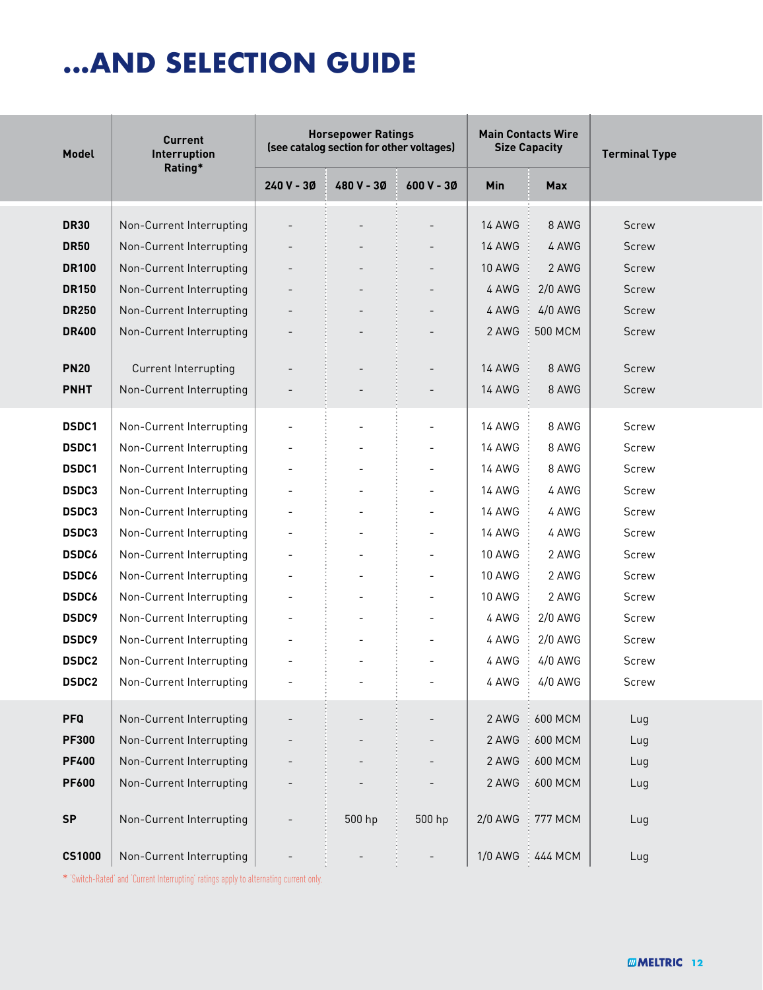## **...AND SELECTION GUIDE**

| Model         | <b>Current</b><br>Interruption<br>Rating* |                          | <b>Horsepower Ratings</b><br>(see catalog section for other voltages) |                          |                | <b>Main Contacts Wire</b><br><b>Size Capacity</b> | <b>Terminal Type</b> |  |
|---------------|-------------------------------------------|--------------------------|-----------------------------------------------------------------------|--------------------------|----------------|---------------------------------------------------|----------------------|--|
|               |                                           | $240V - 30$              | 480 V - 30                                                            | 600 V - 3Ø               | <b>Min</b>     | <b>Max</b>                                        |                      |  |
| <b>DR30</b>   | Non-Current Interrupting                  |                          |                                                                       |                          | <b>14 AWG</b>  | 8 AWG                                             | Screw                |  |
| <b>DR50</b>   | Non-Current Interrupting                  |                          |                                                                       |                          | <b>14 AWG</b>  | 4 AWG                                             | Screw                |  |
| <b>DR100</b>  | Non-Current Interrupting                  |                          |                                                                       |                          | <b>10 AWG</b>  | 2 AWG                                             | <b>Screw</b>         |  |
| <b>DR150</b>  | Non-Current Interrupting                  | $\overline{a}$           |                                                                       |                          | 4 AWG          | 2/0 AWG                                           | Screw                |  |
| <b>DR250</b>  | Non-Current Interrupting                  |                          |                                                                       | $\overline{\phantom{a}}$ | 4 AWG          | 4/0 AWG                                           | Screw                |  |
| <b>DR400</b>  | Non-Current Interrupting                  |                          |                                                                       |                          | 2 AWG          | 500 MCM                                           | <b>Screw</b>         |  |
|               |                                           |                          |                                                                       |                          |                |                                                   |                      |  |
| <b>PN20</b>   | Current Interrupting                      |                          |                                                                       | $\overline{\phantom{a}}$ | <b>14 AWG</b>  | 8 AWG                                             | <b>Screw</b>         |  |
| <b>PNHT</b>   | Non-Current Interrupting                  |                          |                                                                       | $\overline{\phantom{a}}$ | <b>14 AWG</b>  | 8 AWG                                             | Screw                |  |
| DSDC1         | Non-Current Interrupting                  | $\overline{\phantom{a}}$ | $\overline{a}$                                                        | $\overline{\phantom{a}}$ | <b>14 AWG</b>  | 8 AWG                                             | Screw                |  |
| DSDC1         | Non-Current Interrupting                  | $\overline{\phantom{0}}$ | $\overline{\phantom{a}}$                                              | $\overline{\phantom{a}}$ | <b>14 AWG</b>  | 8 AWG                                             | Screw                |  |
| DSDC1         | Non-Current Interrupting                  |                          | $\overline{\phantom{0}}$                                              | $\overline{\phantom{a}}$ | <b>14 AWG</b>  | 8 AWG                                             | Screw                |  |
| DSDC3         | Non-Current Interrupting                  |                          |                                                                       | $\overline{\phantom{a}}$ | <b>14 AWG</b>  | 4 AWG                                             | Screw                |  |
| <b>DSDC3</b>  | Non-Current Interrupting                  | $\overline{a}$           |                                                                       | $\overline{\phantom{a}}$ | <b>14 AWG</b>  | 4 AWG                                             | Screw                |  |
| <b>DSDC3</b>  | Non-Current Interrupting                  | $\overline{\phantom{a}}$ |                                                                       | $\overline{\phantom{a}}$ | <b>14 AWG</b>  | 4 AWG                                             | Screw                |  |
| <b>DSDC6</b>  | Non-Current Interrupting                  | $\overline{\phantom{a}}$ | $\overline{\phantom{a}}$                                              | $\overline{\phantom{a}}$ | <b>10 AWG</b>  | 2 AWG                                             | Screw                |  |
| <b>DSDC6</b>  | Non-Current Interrupting                  | $\overline{\phantom{a}}$ | $\overline{\phantom{a}}$                                              | $\overline{\phantom{a}}$ | <b>10 AWG</b>  | 2 AWG                                             | Screw                |  |
| <b>DSDC6</b>  | Non-Current Interrupting                  |                          |                                                                       | $\overline{\phantom{a}}$ | <b>10 AWG</b>  | 2 AWG                                             | Screw                |  |
| <b>DSDC9</b>  | Non-Current Interrupting                  | $\overline{a}$           |                                                                       | $\overline{\phantom{a}}$ | 4 AWG          | 2/0 AWG                                           | Screw                |  |
| DSDC9         | Non-Current Interrupting                  | $\overline{a}$           |                                                                       |                          | 4 AWG          | 2/0 AWG                                           | Screw                |  |
| <b>DSDC2</b>  | Non-Current Interrupting                  |                          |                                                                       |                          | 4 AWG          | 4/0 AWG                                           | Screw                |  |
| <b>DSDC2</b>  | Non-Current Interrupting                  |                          |                                                                       |                          | 4 AWG          | $4/0$ AWG                                         | Screw                |  |
|               |                                           |                          |                                                                       |                          |                |                                                   |                      |  |
| <b>PFQ</b>    | Non-Current Interrupting                  |                          |                                                                       |                          | 2 AWG          | 600 MCM                                           | Lug                  |  |
| <b>PF300</b>  | Non-Current Interrupting                  |                          |                                                                       |                          | 2 AWG          | 600 MCM                                           | Lug                  |  |
| <b>PF400</b>  | Non-Current Interrupting                  |                          |                                                                       |                          | 2 AWG          | 600 MCM                                           | Lug                  |  |
| <b>PF600</b>  | Non-Current Interrupting                  |                          |                                                                       |                          | 2 AWG          | <b>600 MCM</b>                                    | Lug                  |  |
| <b>SP</b>     | Non-Current Interrupting                  |                          | 500 hp                                                                | 500 hp                   | <b>2/0 AWG</b> | <b>777 MCM</b>                                    | Lug                  |  |
| <b>CS1000</b> | Non-Current Interrupting                  |                          |                                                                       |                          | <b>1/0 AWG</b> | 444 MCM                                           | Lug                  |  |

\* 'Switch-Rated' and 'Current Interrupting' ratings apply to alternating current only.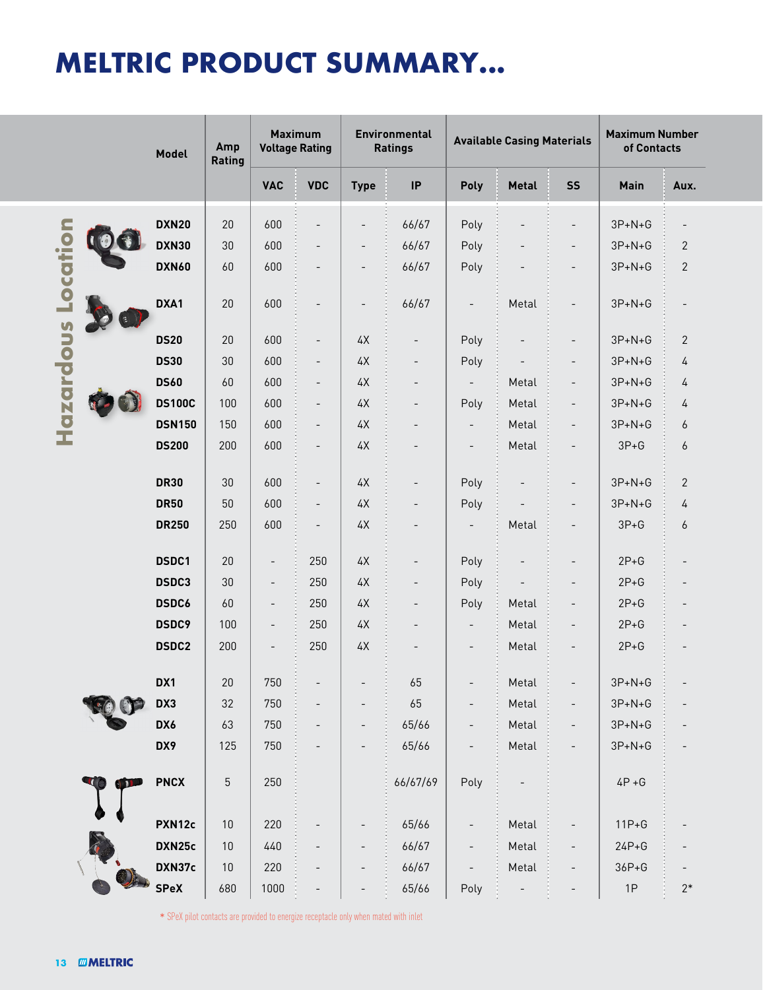# **MELTRIC PRODUCT SUMMARY...**

|                                    | Model         | Amp<br>Rating | <b>Maximum</b><br><b>Voltage Rating</b>                                              |                          | Environmental<br><b>Ratings</b> |                          | <b>Available Casing Materials</b> |                          |                          | <b>Maximum Number</b><br>of Contacts |                  |
|------------------------------------|---------------|---------------|--------------------------------------------------------------------------------------|--------------------------|---------------------------------|--------------------------|-----------------------------------|--------------------------|--------------------------|--------------------------------------|------------------|
|                                    |               |               | <b>VAC</b>                                                                           | <b>VDC</b>               | <b>Type</b>                     | $\sf IP$                 | Poly                              | <b>Metal</b>             | <b>SS</b>                | Main                                 | Aux.             |
|                                    | <b>DXN20</b>  | 20            | 600                                                                                  |                          | $\overline{\phantom{a}}$        | 66/67                    | Poly                              |                          | $\overline{\phantom{0}}$ | $3P + N + G$                         |                  |
|                                    | <b>DXN30</b>  | 30            | 600                                                                                  | $\overline{\phantom{a}}$ | $\overline{\phantom{a}}$        | 66/67                    | Poly                              | $\overline{a}$           | $\qquad \qquad -$        | $3P + N + G$                         | $\sqrt{2}$       |
| Location                           | <b>DXN60</b>  | 60            | 600                                                                                  | $\overline{\phantom{a}}$ | $\overline{\phantom{a}}$        | 66/67                    | Poly                              |                          | $\overline{\phantom{a}}$ | $3P + N + G$                         | $\mathbf{2}$     |
|                                    | DXA1          | 20            | 600                                                                                  | $\overline{\phantom{a}}$ | $\overline{\phantom{a}}$        | 66/67                    | $\overline{\phantom{a}}$          | Metal                    | $\overline{\phantom{0}}$ | $3P + N + G$                         |                  |
| Hazardous                          | <b>DS20</b>   | 20            | 600                                                                                  | $\overline{\phantom{a}}$ | $4\mathrm{\mathsf{X}}$          | $\overline{a}$           | Poly                              |                          | $\overline{\phantom{a}}$ | $3P + N + G$                         | $\mathbf{2}$     |
|                                    | <b>DS30</b>   | 30            | 600                                                                                  | $\overline{\phantom{a}}$ | $4\mathrm{\mathsf{X}}$          |                          | Poly                              |                          | $\overline{\phantom{0}}$ | $3P + N + G$                         | 4                |
|                                    | <b>DS60</b>   | 60            | 600                                                                                  | $\overline{\phantom{a}}$ | $4\mathrm{\mathsf{X}}$          | $\overline{a}$           | $\overline{\phantom{a}}$          | Metal                    | $\qquad \qquad -$        | $3P + N + G$                         | 4                |
|                                    | <b>DS100C</b> | 100           | 600                                                                                  | $\overline{\phantom{a}}$ | $4\mathrm{\mathsf{X}}$          | $\overline{\phantom{0}}$ | Poly                              | Metal                    | $\overline{\phantom{a}}$ | $3P + N + G$                         | 4                |
|                                    | <b>DSN150</b> | 150           | 600                                                                                  | $\overline{\phantom{a}}$ | $4\mathrm{\mathsf{X}}$          |                          |                                   | Metal                    | $\qquad \qquad -$        | $3P + N + G$                         | 6                |
|                                    | <b>DS200</b>  | 200           | 600                                                                                  | $\overline{\phantom{a}}$ | $4\mathrm{\mathsf{X}}$          |                          | $\overline{\phantom{a}}$          | Metal                    | $\qquad \qquad -$        | $3P+G$                               | $\boldsymbol{6}$ |
|                                    | <b>DR30</b>   | 30            | 600                                                                                  | $\overline{\phantom{a}}$ | 4X                              |                          | Poly                              |                          | $\overline{\phantom{a}}$ | $3P + N + G$                         | $\mathbf{2}$     |
|                                    | <b>DR50</b>   | $50\,$        | 600                                                                                  | $\overline{\phantom{a}}$ | $4\mathrm{\mathsf{X}}$          | $\overline{a}$           | Poly                              |                          | $\overline{\phantom{a}}$ | $3P + N + G$                         | 4                |
|                                    | <b>DR250</b>  | 250           | 600                                                                                  | $\overline{\phantom{a}}$ | $4\mathrm{\mathsf{X}}$          | $\overline{\phantom{0}}$ | $\overline{\phantom{a}}$          | Metal                    | $\overline{\phantom{a}}$ | $3P + G$                             | $\boldsymbol{6}$ |
|                                    | DSDC1         | 20            | $\overline{\phantom{a}}$                                                             | 250                      | $4\mathrm{\mathsf{X}}$          |                          | Poly                              | $\overline{\phantom{a}}$ | $\overline{\phantom{0}}$ | $2P+G$                               |                  |
|                                    | DSDC3         | 30            | $\overline{\phantom{m}}$                                                             | 250                      | 4X                              | $\overline{a}$           | Poly                              |                          | $\overline{\phantom{a}}$ | $2P+G$                               |                  |
|                                    | <b>DSDC6</b>  | 60            | $\overline{\phantom{a}}$                                                             | 250                      | 4X                              | $\overline{a}$           | Poly                              | Metal                    | $\overline{\phantom{0}}$ | $2P+G$                               |                  |
|                                    | DSDC9         | 100           | $\qquad \qquad -$                                                                    | 250                      | 4X                              | $\overline{a}$           | $\overline{\phantom{a}}$          | Metal                    | $\qquad \qquad -$        | $2P+G$                               |                  |
|                                    | <b>DSDC2</b>  | 200           | $\overline{\phantom{a}}$                                                             | 250                      | $4\text{\AA}$                   |                          | $\overline{\phantom{a}}$          | Metal                    | $\overline{\phantom{0}}$ | $2P+G$                               |                  |
|                                    | DX1           | 20            | 750                                                                                  |                          |                                 | 65                       |                                   | Metal                    |                          | $3P + N + G$                         |                  |
|                                    | DX3           | 32            | 750                                                                                  |                          |                                 | 65                       |                                   | Metal                    |                          | $3P + N + G$                         |                  |
|                                    | DX6           | 63            | 750                                                                                  |                          |                                 | 65/66                    |                                   | Metal                    |                          | $3P + N + G$                         |                  |
|                                    | DX9           | 125           | 750                                                                                  | $\overline{\phantom{0}}$ |                                 | 65/66                    |                                   | Metal                    |                          | $3P + N + G$                         |                  |
|                                    | <b>PNCX</b>   | $\sqrt{5}$    | 250                                                                                  |                          |                                 | 66/67/69                 | Poly                              |                          |                          | $4P + G$                             |                  |
|                                    | PXN12c        | $10$          | 220                                                                                  |                          |                                 | 65/66                    |                                   | Metal                    |                          | $11P + G$                            |                  |
|                                    | DXN25c        | 10            | 440                                                                                  |                          |                                 | 66/67                    |                                   | Metal                    |                          | $24P+G$                              |                  |
|                                    | DXN37c        | 10            | 220                                                                                  |                          |                                 | 66/67                    |                                   | Metal                    |                          | $36P + G$                            |                  |
|                                    | <b>SPeX</b>   | 680           | 1000                                                                                 |                          |                                 | 65/66                    | Poly                              |                          |                          | 1P                                   | $2*$             |
| <b>MMELTRIC</b><br>13 <sub>1</sub> |               |               | * SPeX pilot contacts are provided to energize receptacle only when mated with inlet |                          |                                 |                          |                                   |                          |                          |                                      |                  |